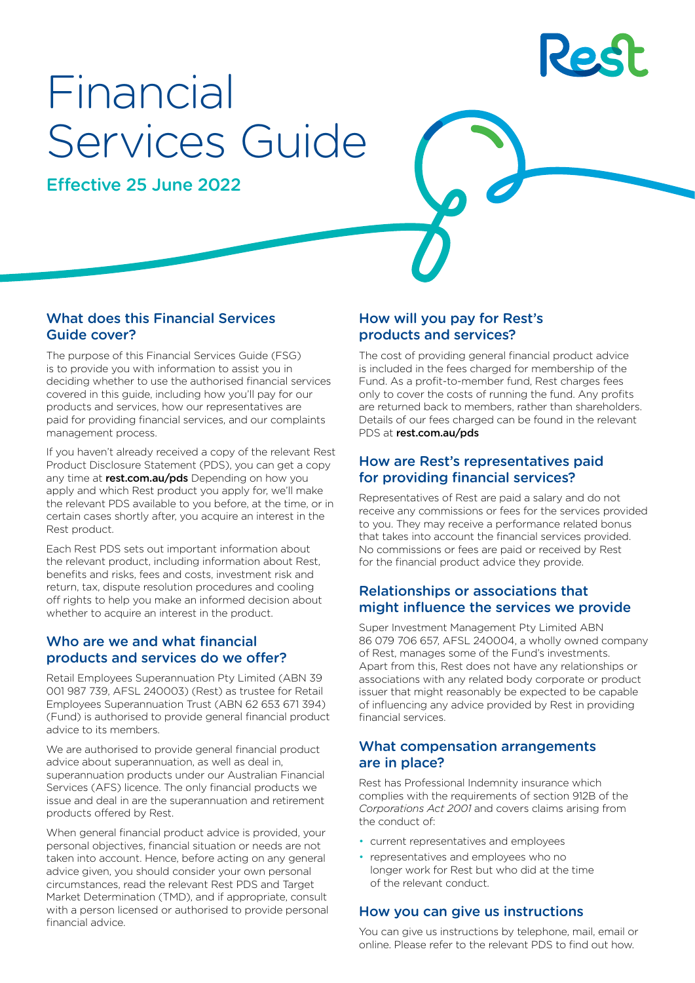

# Financial Services Guide

Effective 25 June 2022

# What does this Financial Services Guide cover?

The purpose of this Financial Services Guide (FSG) is to provide you with information to assist you in deciding whether to use the authorised financial services covered in this guide, including how you'll pay for our products and services, how our representatives are paid for providing financial services, and our complaints management process.

If you haven't already received a copy of the relevant Rest Product Disclosure Statement (PDS), you can get a copy any time at [rest.com.au/pds](http://rest.com.au/pds) Depending on how you apply and which Rest product you apply for, we'll make the relevant PDS available to you before, at the time, or in certain cases shortly after, you acquire an interest in the Rest product.

Each Rest PDS sets out important information about the relevant product, including information about Rest, benefits and risks, fees and costs, investment risk and return, tax, dispute resolution procedures and cooling off rights to help you make an informed decision about whether to acquire an interest in the product.

# Who are we and what financial products and services do we offer?

Retail Employees Superannuation Pty Limited (ABN 39 001 987 739, AFSL 240003) (Rest) as trustee for Retail Employees Superannuation Trust (ABN 62 653 671 394) (Fund) is authorised to provide general financial product advice to its members.

We are authorised to provide general financial product advice about superannuation, as well as deal in, superannuation products under our Australian Financial Services (AFS) licence. The only financial products we issue and deal in are the superannuation and retirement products offered by Rest.

When general financial product advice is provided, your personal objectives, financial situation or needs are not taken into account. Hence, before acting on any general advice given, you should consider your own personal circumstances, read the relevant Rest PDS and Target Market Determination (TMD), and if appropriate, consult with a person licensed or authorised to provide personal financial advice.

# How will you pay for Rest's products and services?

The cost of providing general financial product advice is included in the fees charged for membership of the Fund. As a profit-to-member fund, Rest charges fees only to cover the costs of running the fund. Any profits are returned back to members, rather than shareholders. Details of our fees charged can be found in the relevant PDS at [rest.com.au/pds](http://rest.com.au/pds)

# How are Rest's representatives paid for providing financial services?

Representatives of Rest are paid a salary and do not receive any commissions or fees for the services provided to you. They may receive a performance related bonus that takes into account the financial services provided. No commissions or fees are paid or received by Rest for the financial product advice they provide.

# Relationships or associations that might influence the services we provide

Super Investment Management Pty Limited ABN 86 079 706 657, AFSL 240004, a wholly owned company of Rest, manages some of the Fund's investments. Apart from this, Rest does not have any relationships or associations with any related body corporate or product issuer that might reasonably be expected to be capable of influencing any advice provided by Rest in providing financial services.

# What compensation arrangements are in place?

Rest has Professional Indemnity insurance which complies with the requirements of section 912B of the *Corporations Act 2001* and covers claims arising from the conduct of:

- current representatives and employees
- representatives and employees who no longer work for Rest but who did at the time of the relevant conduct.

# How you can give us instructions

You can give us instructions by telephone, mail, email or online. Please refer to the relevant PDS to find out how.